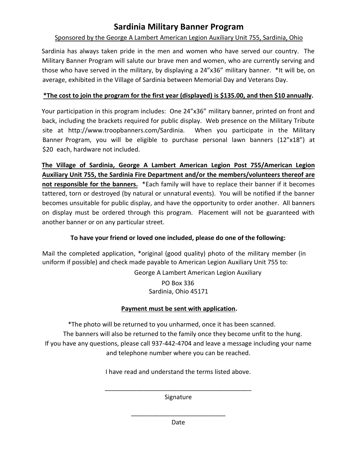## **Sardinia Military Banner Program**

### Sponsored by the George A Lambert American Legion Auxiliary Unit 755, Sardinia, Ohio

Sardinia has always taken pride in the men and women who have served our country. The Military Banner Program will salute our brave men and women, who are currently serving and those who have served in the military, by displaying a 24"x36" military banner. \*It will be, on average, exhibited in the Village of Sardinia between Memorial Day and Veterans Day.

#### **\*The cost to join the program for the first year (displayed) is \$135.00, and then \$10 annually.**

Your participation in this program includes: One 24"x36" military banner, printed on front and back, including the brackets required for public display. Web presence on the Military Tribute site at http://www.troopbanners.com/Sardinia. When you participate in the Military Banner Program, you will be eligible to purchase personal lawn banners (12"x18") at \$20 each, hardware not included.

**The Village of Sardinia, George A Lambert American Legion Post 755/American Legion Auxiliary Unit 755, the Sardinia Fire Department and/or the members/volunteers thereof are not responsible for the banners.** \*Each family will have to replace their banner if it becomes tattered, torn or destroyed (by natural or unnatural events). You will be notified if the banner becomes unsuitable for public display, and have the opportunity to order another. All banners on display must be ordered through this program. Placement will not be guaranteed with another banner or on any particular street.

### **To have your friend or loved one included, please do one of the following:**

Mail the completed application, \*original (good quality) photo of the military member (in uniform if possible) and check made payable to American Legion Auxiliary Unit 755 to:

> George A Lambert American Legion Auxiliary PO Box 336

Sardinia, Ohio 45171

#### **Payment must be sent with application.**

\*The photo will be returned to you unharmed, once it has been scanned. The banners will also be returned to the family once they become unfit to the hung. If you have any questions, please call 937-442-4704 and leave a message including your name and telephone number where you can be reached.

I have read and understand the terms listed above.

\_\_\_\_\_\_\_\_\_\_\_\_\_\_\_\_\_\_\_\_\_\_\_\_\_\_\_\_\_\_\_\_\_\_\_\_\_\_\_\_\_\_ Signature

> \_\_\_\_\_\_\_\_\_\_\_\_\_\_\_\_\_\_\_\_\_\_\_\_\_\_\_ Date